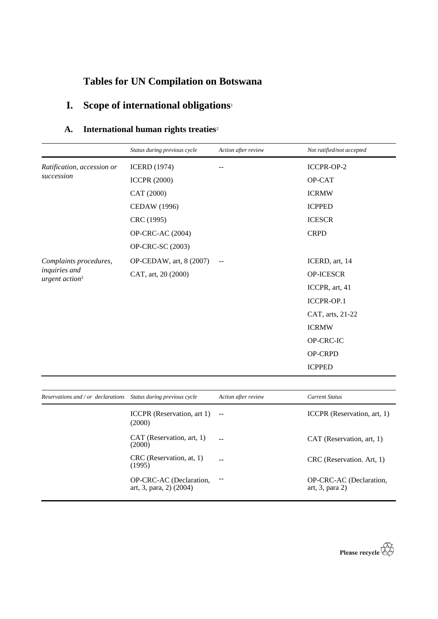# **Tables for UN Compilation on Botswana**

# **I. Scope of international obligations**<sup>1</sup>

## **A. International human rights treaties**<sup>2</sup>

|                                   | Status during previous cycle | Action after review | Not ratified/not accepted |
|-----------------------------------|------------------------------|---------------------|---------------------------|
| Ratification, accession or        | <b>ICERD</b> (1974)          |                     | ICCPR-OP-2                |
| succession                        | <b>ICCPR (2000)</b>          |                     | OP-CAT                    |
|                                   | CAT (2000)                   |                     | <b>ICRMW</b>              |
|                                   | <b>CEDAW</b> (1996)          |                     | <b>ICPPED</b>             |
|                                   | CRC (1995)                   |                     | <b>ICESCR</b>             |
|                                   | OP-CRC-AC (2004)             |                     | <b>CRPD</b>               |
|                                   | OP-CRC-SC (2003)             |                     |                           |
| Complaints procedures,            | OP-CEDAW, art, 8 (2007)      | $-\,-$              | ICERD, art, 14            |
| inquiries and<br>urgent $action3$ | CAT, art, 20 (2000)          |                     | OP-ICESCR                 |
|                                   |                              |                     | ICCPR, art, 41            |
|                                   |                              |                     | ICCPR-OP.1                |
|                                   |                              |                     | CAT, arts, 21-22          |
|                                   |                              |                     | <b>ICRMW</b>              |
|                                   |                              |                     | OP-CRC-IC                 |
|                                   |                              |                     | OP-CRPD                   |
|                                   |                              |                     | <b>ICPPED</b>             |
|                                   |                              |                     |                           |

| Reservations and / or declarations Status during previous cycle |                                                    | Action after review | <b>Current Status</b>                            |
|-----------------------------------------------------------------|----------------------------------------------------|---------------------|--------------------------------------------------|
|                                                                 | ICCPR (Reservation, $art 1$ ) --<br>(2000)         |                     | ICCPR (Reservation, art, 1)                      |
|                                                                 | CAT (Reservation, art, 1)<br>(2000)                |                     | CAT (Reservation, art, 1)                        |
|                                                                 | CRC (Reservation, at, 1)<br>(1995)                 |                     | CRC (Reservation. Art, 1)                        |
|                                                                 | OP-CRC-AC (Declaration,<br>art, 3, para, 2) (2004) |                     | OP-CRC-AC (Declaration,<br>art, $3$ , para $2$ ) |

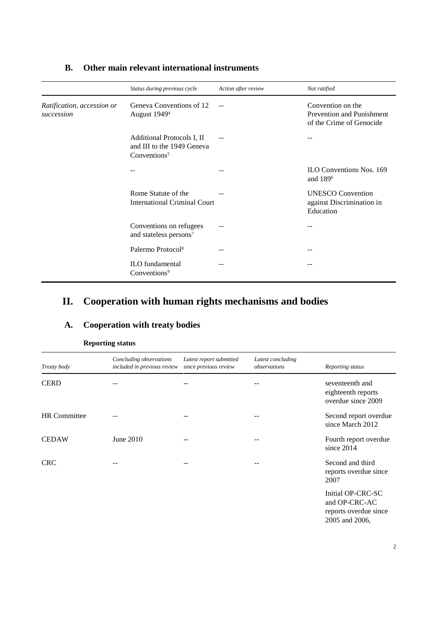|                                          | Status during previous cycle                                                         | Action after review | Not ratified                                                                      |
|------------------------------------------|--------------------------------------------------------------------------------------|---------------------|-----------------------------------------------------------------------------------|
| Ratification, accession or<br>succession | Geneva Conventions of 12<br>August 1949 <sup>4</sup>                                 |                     | Convention on the<br><b>Prevention and Punishment</b><br>of the Crime of Genocide |
|                                          | Additional Protocols I, II<br>and III to the 1949 Geneva<br>Conventions <sup>5</sup> |                     |                                                                                   |
|                                          |                                                                                      |                     | <b>ILO Conventions Nos. 169</b><br>and 189 <sup>6</sup>                           |
|                                          | Rome Statute of the<br><b>International Criminal Court</b>                           |                     | <b>UNESCO</b> Convention<br>against Discrimination in<br>Education                |
|                                          | Conventions on refugees<br>and stateless persons <sup>7</sup>                        | --                  | --                                                                                |
|                                          | Palermo Protocol <sup>8</sup>                                                        |                     |                                                                                   |
|                                          | <b>ILO</b> fundamental<br>Conventions <sup>9</sup>                                   |                     |                                                                                   |

### **B. Other main relevant international instruments**

### **II. Cooperation with human rights mechanisms and bodies**

### **A. Cooperation with treaty bodies**

| Treaty body         | Concluding observations<br>included in previous review | Latest report submitted<br>since previous review | Latest concluding<br>observations | Reporting status                                            |
|---------------------|--------------------------------------------------------|--------------------------------------------------|-----------------------------------|-------------------------------------------------------------|
| <b>CERD</b>         | --                                                     | $- -$                                            | --                                | seventeenth and<br>eighteenth reports<br>overdue since 2009 |
| <b>HR</b> Committee |                                                        |                                                  |                                   | Second report overdue<br>since March 2012                   |
| <b>CEDAW</b>        | June $2010$                                            |                                                  |                                   | Fourth report overdue<br>since $2014$                       |
| <b>CRC</b>          |                                                        | $- -$                                            |                                   | Second and third<br>reports overdue since<br>2007           |
|                     |                                                        |                                                  |                                   | $In it of OP$ CDC $C$                                       |

#### **Reporting status**

Initial OP-CRC-SC and OP-CRC-AC reports overdue since 2005 and 2006,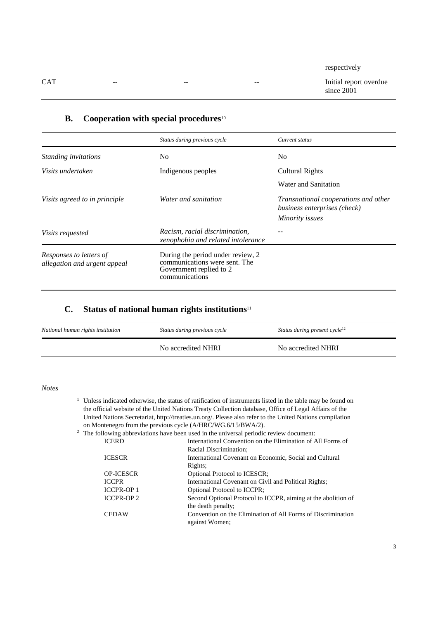|            |       |                          |                          | respectively                         |
|------------|-------|--------------------------|--------------------------|--------------------------------------|
| <b>CAT</b> | $- -$ | $\overline{\phantom{m}}$ | $\overline{\phantom{a}}$ | Initial report overdue<br>since 2001 |

|                                                         | Status during previous cycle                                                                                    | Current status                                                                          |
|---------------------------------------------------------|-----------------------------------------------------------------------------------------------------------------|-----------------------------------------------------------------------------------------|
| Standing invitations                                    | No.                                                                                                             | N <sub>0</sub>                                                                          |
| Visits undertaken                                       | Indigenous peoples                                                                                              | <b>Cultural Rights</b>                                                                  |
|                                                         |                                                                                                                 | Water and Sanitation                                                                    |
| Visits agreed to in principle                           | Water and sanitation                                                                                            | Transnational cooperations and other<br>business enterprises (check)<br>Minority issues |
| <i>Visits requested</i>                                 | Racism, racial discrimination,<br>xenophobia and related intolerance                                            |                                                                                         |
| Responses to letters of<br>allegation and urgent appeal | During the period under review, 2<br>communications were sent. The<br>Government replied to 2<br>communications |                                                                                         |

### **B. Cooperation with special procedures**<sup>10</sup>

#### **C. Status of national human rights institutions**<sup>11</sup>

| National human rights institution | Status during previous cycle | Status during present cycle <sup>12</sup> |
|-----------------------------------|------------------------------|-------------------------------------------|
|                                   | No accredited NHRI           | No accredited NHRI                        |

*Notes*

<sup>1</sup> Unless indicated otherwise, the status of ratification of instruments listed in the table may be found on the official website of the United Nations Treaty Collection database, Office of Legal Affairs of the United Nations Secretariat, http://treaties.un.org/. Please also refer to the United Nations compilation on Montenegro from the previous cycle (A/HRC/WG.6/15/BWA/2).<br><sup>2</sup> The following abbreviations have been used in the universal periodic

| $2\degree$ The following abbreviations have been used in the universal periodic review document: |                  |                                                               |
|--------------------------------------------------------------------------------------------------|------------------|---------------------------------------------------------------|
| <b>ICERD</b>                                                                                     |                  | International Convention on the Elimination of All Forms of   |
|                                                                                                  |                  | Racial Discrimination;                                        |
|                                                                                                  | <b>ICESCR</b>    | International Covenant on Economic, Social and Cultural       |
|                                                                                                  |                  | Rights:                                                       |
|                                                                                                  | <b>OP-ICESCR</b> | Optional Protocol to ICESCR;                                  |
|                                                                                                  | <b>ICCPR</b>     | International Covenant on Civil and Political Rights;         |
|                                                                                                  | <b>ICCPR-OP1</b> | <b>Optional Protocol to ICCPR;</b>                            |
|                                                                                                  | <b>ICCPR-OP2</b> | Second Optional Protocol to ICCPR, aiming at the abolition of |
|                                                                                                  |                  | the death penalty;                                            |
|                                                                                                  | <b>CEDAW</b>     | Convention on the Elimination of All Forms of Discrimination  |
|                                                                                                  |                  | against Women;                                                |
|                                                                                                  |                  |                                                               |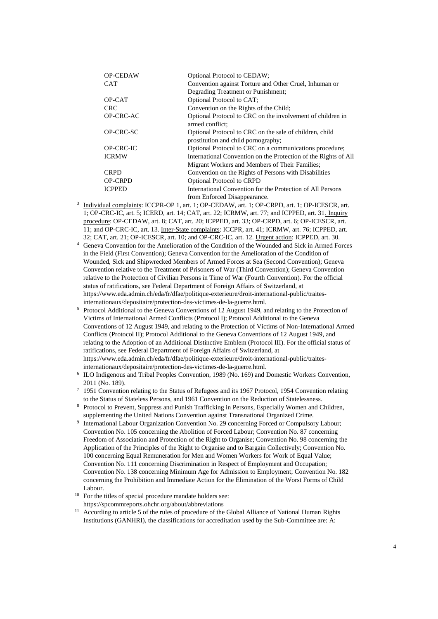| <b>OP-CEDAW</b> | <b>Optional Protocol to CEDAW;</b>                                                             |
|-----------------|------------------------------------------------------------------------------------------------|
| <b>CAT</b>      | Convention against Torture and Other Cruel, Inhuman or                                         |
|                 | Degrading Treatment or Punishment;                                                             |
| OP-CAT          | Optional Protocol to CAT;                                                                      |
| <b>CRC</b>      | Convention on the Rights of the Child;                                                         |
| OP-CRC-AC       | Optional Protocol to CRC on the involvement of children in<br>armed conflict:                  |
| OP-CRC-SC       | Optional Protocol to CRC on the sale of children, child<br>prostitution and child pornography; |
| OP-CRC-IC       | Optional Protocol to CRC on a communications procedure;                                        |
| <b>ICRMW</b>    | International Convention on the Protection of the Rights of All                                |
|                 | Migrant Workers and Members of Their Families;                                                 |
| <b>CRPD</b>     | Convention on the Rights of Persons with Disabilities                                          |
| <b>OP-CRPD</b>  | <b>Optional Protocol to CRPD</b>                                                               |
| <b>ICPPED</b>   | International Convention for the Protection of All Persons                                     |
|                 | from Enforced Disappearance.                                                                   |

- 3 Individual complaints: ICCPR-OP 1, art. 1; OP-CEDAW, art. 1; OP-CRPD, art. 1; OP-ICESCR, art. 1; OP-CRC-IC, art. 5; ICERD, art. 14; CAT, art. 22; ICRMW, art. 77; and ICPPED, art. 31. Inquiry procedure: OP-CEDAW, art. 8; CAT, art. 20; ICPPED, art. 33; OP-CRPD, art. 6; OP-ICESCR, art. 11; and OP-CRC-IC, art. 13. Inter-State complaints: ICCPR, art. 41; ICRMW, art. 76; ICPPED, art. 32; CAT, art. 21; OP-ICESCR, art. 10; and OP-CRC-IC, art. 12. Urgent action: ICPPED, art. 30.
- <sup>4</sup> Geneva Convention for the Amelioration of the Condition of the Wounded and Sick in Armed Forces in the Field (First Convention); Geneva Convention for the Amelioration of the Condition of Wounded, Sick and Shipwrecked Members of Armed Forces at Sea (Second Convention); Geneva Convention relative to the Treatment of Prisoners of War (Third Convention); Geneva Convention relative to the Protection of Civilian Persons in Time of War (Fourth Convention). For the official status of ratifications, see Federal Department of Foreign Affairs of Switzerland, at [https://www.eda.admin.ch/eda/fr/dfae/politique-exterieure/droit-international-public/traites](https://www.eda.admin.ch/eda/fr/dfae/politique-exterieure/droit-international-public/traites-internationaux/depositaire/protection-des-victimes-de-la-guerre.html)[internationaux/depositaire/protection-des-victimes-de-la-guerre.html.](https://www.eda.admin.ch/eda/fr/dfae/politique-exterieure/droit-international-public/traites-internationaux/depositaire/protection-des-victimes-de-la-guerre.html)
- <sup>5</sup> Protocol Additional to the Geneva Conventions of 12 August 1949, and relating to the Protection of Victims of International Armed Conflicts (Protocol I); Protocol Additional to the Geneva Conventions of 12 August 1949, and relating to the Protection of Victims of Non-International Armed Conflicts (Protocol II); Protocol Additional to the Geneva Conventions of 12 August 1949, and relating to the Adoption of an Additional Distinctive Emblem (Protocol III). For the official status of ratifications, see Federal Department of Foreign Affairs of Switzerland, at [https://www.eda.admin.ch/eda/fr/dfae/politique-exterieure/droit-international-public/traites](https://www.eda.admin.ch/eda/fr/dfae/politique-exterieure/droit-international-public/traites-internationaux/depositaire/protection-des-victimes-de-la-guerre.html)[internationaux/depositaire/protection-des-victimes-de-la-guerre.html.](https://www.eda.admin.ch/eda/fr/dfae/politique-exterieure/droit-international-public/traites-internationaux/depositaire/protection-des-victimes-de-la-guerre.html)
- 6 ILO Indigenous and Tribal Peoples Convention, 1989 (No. 169) and Domestic Workers Convention, 2011 (No. 189).
- <sup>7</sup> 1951 Convention relating to the Status of Refugees and its 1967 Protocol, 1954 Convention relating to the Status of Stateless Persons, and 1961 Convention on the Reduction of Statelessness.
- <sup>8</sup> Protocol to Prevent, Suppress and Punish Trafficking in Persons, Especially Women and Children, supplementing the United Nations Convention against Transnational Organized Crime.
- 9 International Labour Organization Convention No. 29 concerning Forced or Compulsory Labour; Convention No. 105 concerning the Abolition of Forced Labour; Convention No. 87 concerning Freedom of Association and Protection of the Right to Organise; Convention No. 98 concerning the Application of the Principles of the Right to Organise and to Bargain Collectively; Convention No. 100 concerning Equal Remuneration for Men and Women Workers for Work of Equal Value; Convention No. 111 concerning Discrimination in Respect of Employment and Occupation; Convention No. 138 concerning Minimum Age for Admission to Employment; Convention No. 182 concerning the Prohibition and Immediate Action for the Elimination of the Worst Forms of Child Labour.
- <sup>10</sup> For the titles of special procedure mandate holders see: https://spcommreports.ohchr.org/about/abbreviations
- <sup>11</sup> According to article 5 of the rules of procedure of the Global Alliance of National Human Rights Institutions (GANHRI), the classifications for accreditation used by the Sub-Committee are: A: